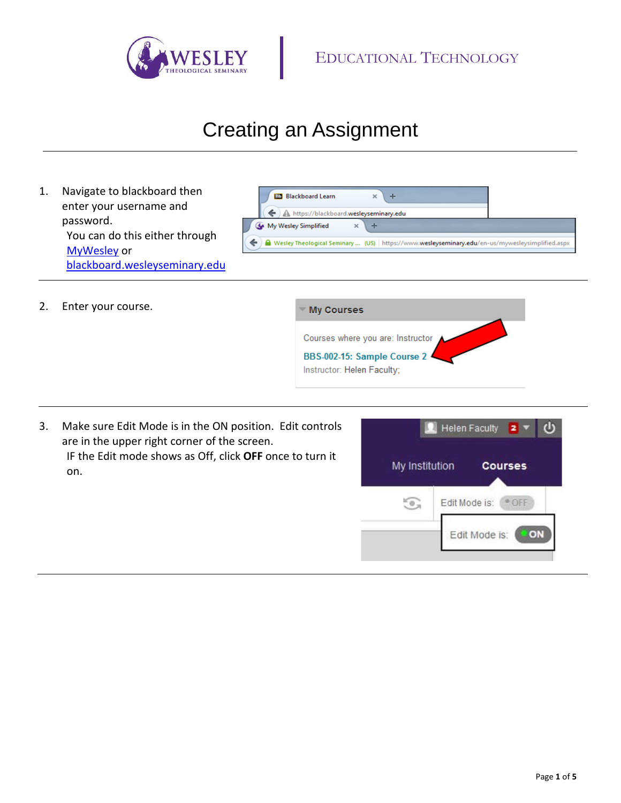

## Creating an Assignment

1. Navigate to blackboard then enter your username and password. You can do this either through [MyWesley](https://www.wesleyseminary.edu/en-us/mywesleysimplified.aspx) or [blackboard.wesleyseminary.edu](https://blackboard.wesleyseminary.edu/)



2. Enter your course.



3. Make sure Edit Mode is in the ON position. Edit controls are in the upper right corner of the screen. IF the Edit mode shows as Off, click **OFF** once to turn it on.

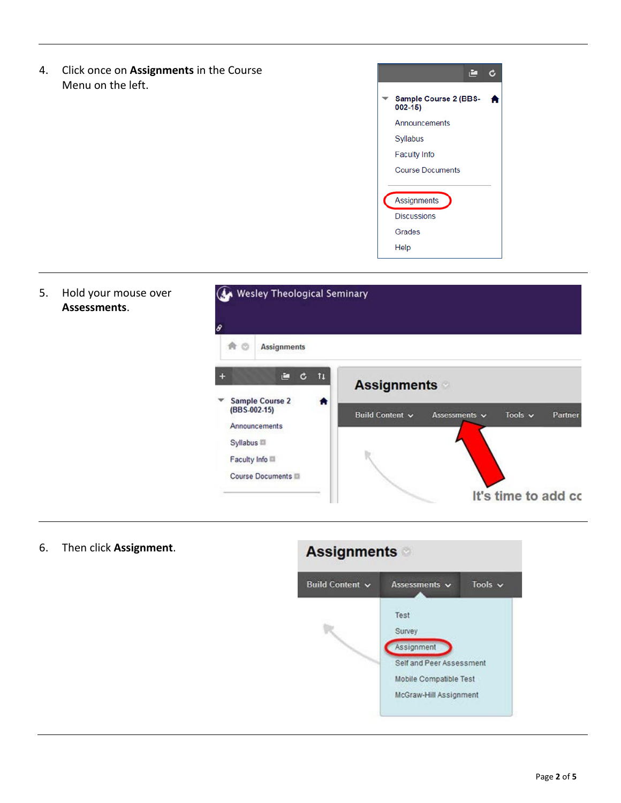4. Click once on **Assignments** in the Course Menu on the left.





6. Then click **Assignment**.

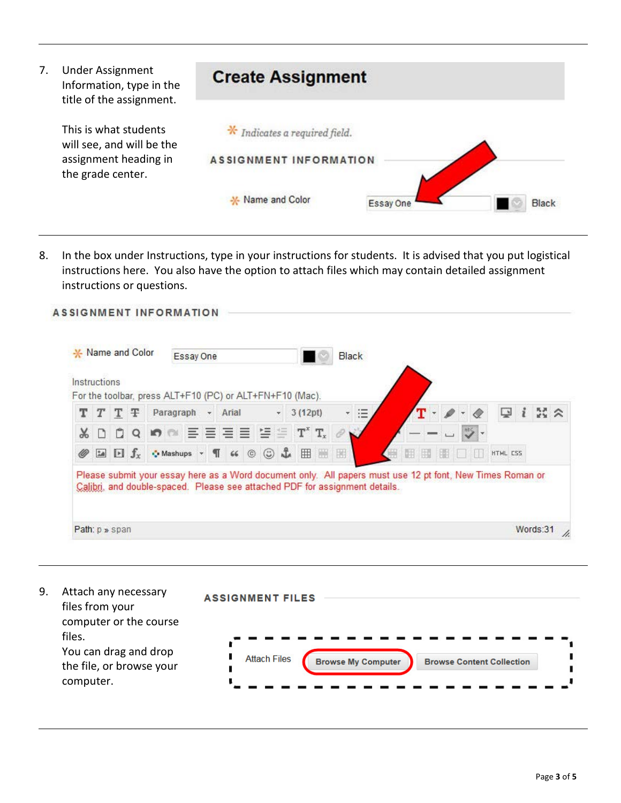

8. In the box under Instructions, type in your instructions for students. It is advised that you put logistical instructions here. You also have the option to attach files which may contain detailed assignment instructions or questions.

| Instructions |                     | * Name and Color |                                                                                                                                                                                          | Essay One |      |         |                |                   |             |   | Black |          |       |  |  |          |                     |
|--------------|---------------------|------------------|------------------------------------------------------------------------------------------------------------------------------------------------------------------------------------------|-----------|------|---------|----------------|-------------------|-------------|---|-------|----------|-------|--|--|----------|---------------------|
|              |                     |                  | For the toolbar, press ALT+F10 (PC) or ALT+FN+F10 (Mac).                                                                                                                                 |           |      |         |                |                   |             |   |       |          |       |  |  |          |                     |
| T            | T                   | Ŧ                | Paragraph                                                                                                                                                                                |           |      | - Arial |                |                   | 3 (12pt)    |   |       | $\equiv$ |       |  |  | ç        | $\mathbb{R} \times$ |
|              |                     | Q                | <b>In</b> all                                                                                                                                                                            |           |      |         |                | 事言语言 智能           | $T^x$ $T_x$ |   |       |          |       |  |  |          |                     |
|              | $\Box$ $\Box$ $f_x$ |                  | Mashups v                                                                                                                                                                                |           | $\P$ | 66      | $\circledcirc$ | $\circledcirc$ if | 囲           | 圈 | 围     |          | 田野田口田 |  |  | HTML CSS |                     |
|              |                     |                  | Please submit your essay here as a Word document only. All papers must use 12 pt font, New Times Roman or<br>Calibri, and double-spaced. Please see attached PDF for assignment details. |           |      |         |                |                   |             |   |       |          |       |  |  |          |                     |

9. Attach any necessary **ASSIGNMENT FILES** files from your computer or the course files. You can drag and drop **Attach Files Browse My Computer Browse Content Collection** the file, or browse your computer.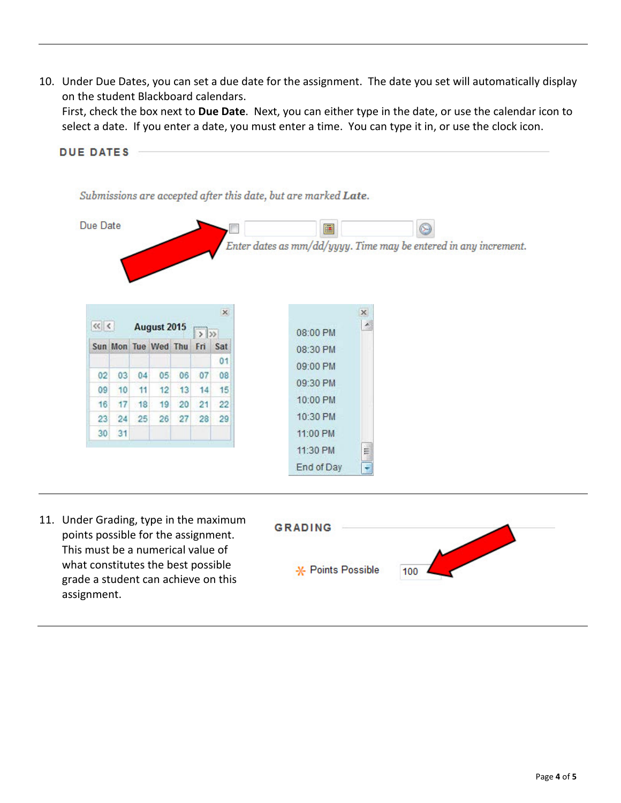10. Under Due Dates, you can set a due date for the assignment. The date you set will automatically display on the student Blackboard calendars.

First, check the box next to **Due Date**. Next, you can either type in the date, or use the calendar icon to select a date. If you enter a date, you must enter a time. You can type it in, or use the clock icon.



11:30 PM

End of Day

罰

11. Under Grading, type in the maximum points possible for the assignment. This must be a numerical value of what constitutes the best possible grade a student can achieve on this assignment.